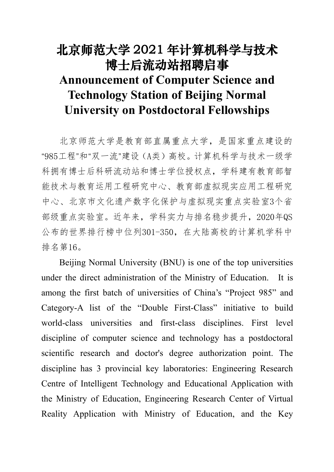# 北京师范大学 2021 年计算机科学与技术 博士后流动站招聘启事 **Announcement of Computer Science and Technology Station of Beijing Normal University on Postdoctoral Fellowships**

北京师范大学是教育部直属重点大学,是国家重点建设的 "985工程"和"双一流"建设(A类)高校。计算机科学与技术一级学 科拥有博士后科研流动站和博士学位授权点,学科建有教育部智 能技术与教育运用工程研究中心、教育部虚拟现实应用工程研究 中心、北京市文化遗产数字化保护与虚拟现实重点实验室3个省 部级重点实验室。近年来,学科实力与排名稳步提升,2020年QS 公布的世界排行榜中位列301-350,在大陆高校的计算机学科中 排名第16。

Beijing Normal University (BNU) is one of the top universities under the direct administration of the Ministry of Education. It is among the first batch of universities of China's "Project 985" and Category-A list of the"Double First-Class" initiative to build world-class universities and first-class disciplines. First level discipline of computer science and technology has a postdoctoral scientific research and doctor's degree authorization point. The discipline has 3 provincial key laboratories: Engineering Research Centre of Intelligent Technology and Educational Application with the Ministry of Education, Engineering Research Center of Virtual Reality Application with Ministry of Education, and the Key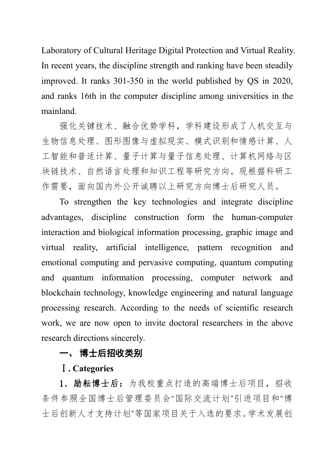Laboratory of Cultural Heritage Digital Protection and Virtual Reality. In recent years, the discipline strength and ranking have been steadily improved. It ranks 301-350 in the world published by QS in 2020, and ranks 16th in the computer discipline among universities in the mainland.

强化关键技术、融合优势学科,学科建设形成了人机交互与 生物信息处理、图形图像与虚拟现实、模式识别和情感计算、人 工智能和普适计算、量子计算与量子信息处理、计算机网络与区 块链技术、自然语言处理和知识工程等研究方向。现根据科研工 作需要,面向国内外公开诚聘以上研究方向博士后研究人员。

To strengthen the key technologies and integrate discipline advantages, discipline construction form the human-computer interaction and biological information processing, graphic image and virtual reality, artificial intelligence, pattern recognition and emotional computing and pervasive computing, quantum computing and quantum information processing, computer network and blockchain technology, knowledge engineering and natural language processing research. According to the needs of scientific research work, we are now open to invite doctoral researchers in the above research directions sincerely.

# 一、 博士后招收类别

## Ⅰ**. Categories**

1.励耘博士后:为我校重点打造的高端博士后项目,招收 条件参照全国博士后管理委员会"国际交流计划"引进项目和"博 士后创新人才支持计划"等国家项目关于入选的要求。学术发展创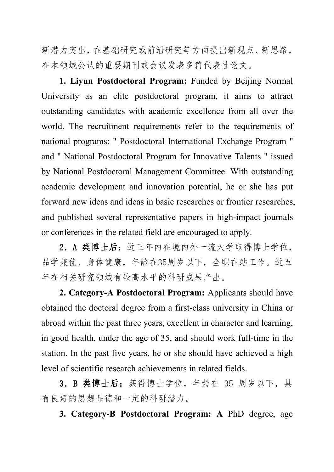新潜力突出,在基础研究或前沿研究等方面提出新观点、新思路, 在本领域公认的重要期刊或会议发表多篇代表性论文。

**1. Liyun Postdoctoral Program:** Funded by Beijing Normal University as an elite postdoctoral program, it aims to attract outstanding candidates with academic excellence from all over the world. The recruitment requirements refer to the requirements of national programs: " Postdoctoral International Exchange Program " and " National Postdoctoral Program for Innovative Talents " issued by National Postdoctoral Management Committee. With outstanding academic development and innovation potential, he or she has put forward new ideas and ideas in basic researches or frontier researches, and published several representative papers in high-impact journals or conferences in the related field are encouraged to apply.

2. A 类博士后: 近三年内在境内外一流大学取得博士学位, 品学兼优、身体健康,年龄在35周岁以下,全职在站工作。近五 年在相关研究领域有较高水平的科研成果产出。

**2. Category-A Postdoctoral Program:** Applicants should have obtained the doctoral degree from a first-class university in China or abroad within the past three years, excellent in character and learning, in good health, under the age of 35, and should work full-time in the station. In the past five years, he or she should have achieved a high level of scientific research achievements in related fields.

3.B 类博士后:获得博士学位,年龄在 35 周岁以下,具 有良好的思想品德和一定的科研潜力。

**3. Category-B Postdoctoral Program: A** PhD degree, age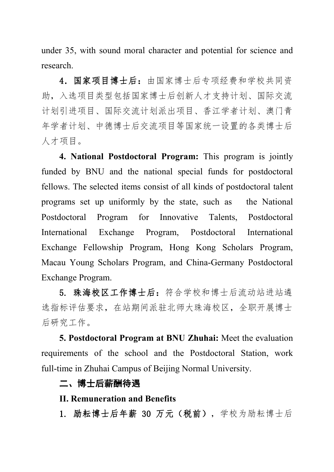under 35, with sound moral character and potential for science and research.

4. 国家项目博士后:由国家博士后专项经费和学校共同资 助,入选项目类型包括国家博士后创新人才支持计划、国际交流 计划引进项目、国际交流计划派出项目、香江学者计划、澳门青 年学者计划、中德博士后交流项目等国家统一设置的各类博士后 人才项目。

**4. National Postdoctoral Program:** This program is jointly funded by BNU and the national special funds for postdoctoral fellows. The selected items consist of all kinds of postdoctoral talent programs set up uniformly by the state, such as the National Postdoctoral Program for Innovative Talents, Postdoctoral International Exchange Program, Postdoctoral International Exchange Fellowship Program, Hong Kong Scholars Program, Macau Young Scholars Program, and China-Germany Postdoctoral Exchange Program.

5. 珠海校区工作博士后:符合学校和博士后流动站进站遴 选指标评估要求,在站期间派驻北师大珠海校区,全职开展博士 后研究工作。

**5. Postdoctoral Program at BNU Zhuhai:** Meet the evaluation requirements of the school and the Postdoctoral Station, work full-time in Zhuhai Campus of Beijing Normal University.

## 二、博士后薪酬待遇

#### **II. Remuneration and Benefits**

1. 励耘博士后年薪 30 万元(税前),学校为励耘博士后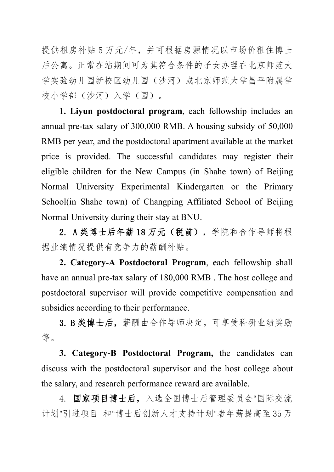提供租房补贴 5 万元/年,并可根据房源情况以市场价租住博士 后公寓。正常在站期间可为其符合条件的子女办理在北京师范大 学实验幼儿园新校区幼儿园(沙河)或北京师范大学昌平附属学 校小学部(沙河)入学(园)。

**1. Liyun postdoctoral program**, each fellowship includes an annual pre-tax salary of 300,000 RMB. A housing subsidy of 50,000 RMB per year, and the postdoctoral apartment available at the market price is provided. The successful candidates may register their eligible children for the New Campus (in Shahe town) of Beijing Normal University Experimental Kindergarten or the Primary School(in Shahe town) of Changping Affiliated School of Beijing Normal University during their stay at BNU.

2. A 类博士后年薪 18 万元(税前),学院和合作导师将根 据业绩情况提供有竞争力的薪酬补贴。

**2. Category-A Postdoctoral Program**, each fellowship shall have an annual pre-tax salary of 180,000 RMB . The host college and postdoctoral supervisor will provide competitive compensation and subsidies according to their performance.

3. B 类博士后,薪酬由合作导师决定,可享受科研业绩奖励 等。

**3. Category-B Postdoctoral Program,** the candidates can discuss with the postdoctoral supervisor and the host college about the salary, and research performance reward are available.

4. 国家项目博士后,入选全国博士后管理委员会"国际交流 计划"引进项目 和"博士后创新人才支持计划"者年薪提高至 35 万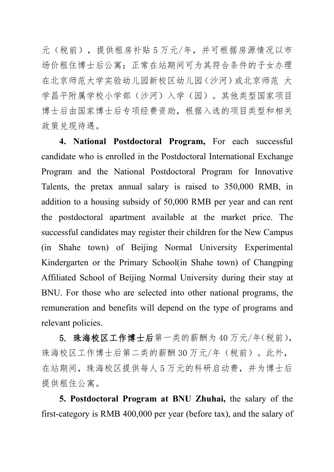元(税前),提供租房补贴 5 万元/年,并可根据房源情况以市 场价租住博士后公寓;正常在站期间可为其符合条件的子女办理 在北京师范大学实验幼儿园新校区幼儿园(沙河)或北京师范 大 学昌平附属学校小学部(沙河)入学(园)。其他类型国家项目 博士后由国家博士后专项经费资助,根据入选的项目类型和相关 政策兑现待遇。

**4. National Postdoctoral Program,** For each successful candidate who is enrolled in the Postdoctoral International Exchange Program and the National Postdoctoral Program for Innovative Talents, the pretax annual salary is raised to 350,000 RMB, in addition to a housing subsidy of 50,000 RMB per year and can rent the postdoctoral apartment available at the market price. The successful candidates may register their children for the New Campus (in Shahe town) of Beijing Normal University Experimental Kindergarten or the Primary School(in Shahe town) of Changping Affiliated School of Beijing Normal University during their stay at BNU. For those who are selected into other national programs, the remuneration and benefits will depend on the type of programs and relevant policies.

5. 珠海校区工作博士后第一类的薪酬为 40 万元/年(税前), 珠海校区工作博士后第二类的薪酬 30 万元/年(税前)。此外, 在站期间,珠海校区提供每人5万元的科研启动费,并为博士后 提供租住公寓。

**5. Postdoctoral Program at BNU Zhuhai,** the salary of the first-category is RMB 400,000 per year (before tax), and the salary of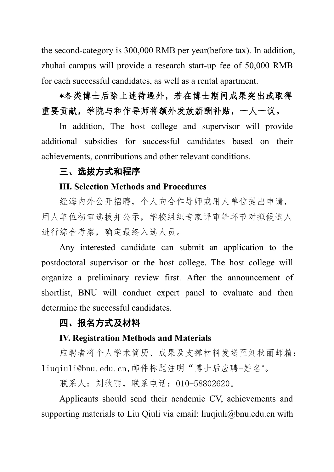the second-category is 300,000 RMB per year(before tax). In addition, zhuhai campus will provide a research start-up fee of 50,000 RMB for each successful candidates, as well as a rental apartment.

\*各类博士后除上述待遇外,若在博士期间成果突出或取得 重要贡献,学院与和作导师将额外发放薪酬补贴,一人一议。

In addition, The host college and supervisor will provide additional subsidies for successful candidates based on their achievements, contributions and other relevant conditions.

# 三、选拔方式和程序

## **III. Selection Methods and Procedures**

经海内外公开招聘,个人向合作导师或用人单位提出申请, 用人单位初审选拔并公示,学校组织专家评审等环节对拟候选人 进行综合考察,确定最终入选人员。

Any interested candidate can submit an application to the postdoctoral supervisor or the host college. The host college will organize a preliminary review first. After the announcement of shortlist, BNU will conduct expert panel to evaluate and then determine the successful candidates.

## 四、报名方式及材料

#### **IV. Registration Methods and Materials**

应聘者将个人学术简历、成果及支撑材料发送至刘秋丽邮箱: liuqiuli@bnu.edu.cn,邮件标题注明"博士后应聘+姓名"。

联系人:刘秋丽,联系电话:010-58802620。

Applicants should send their academic CV, achievements and supporting materials to Liu Qiuli via email: liuqiuli@bnu.edu.cn with